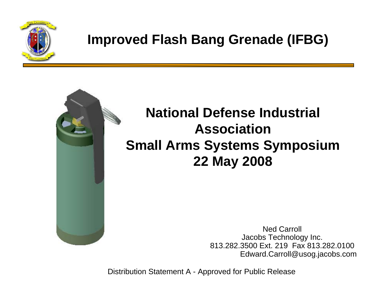

#### **Improved Flash Bang Grenade (IFBG)**



#### **National Defense Industrial Association Small Arms Systems Symposium 22 May 2008**

Ned Carroll Jacobs Technology Inc. 813.282.3500 Ext. 219 Fax 813.282.0100Edward.Carroll@usog.jacobs.com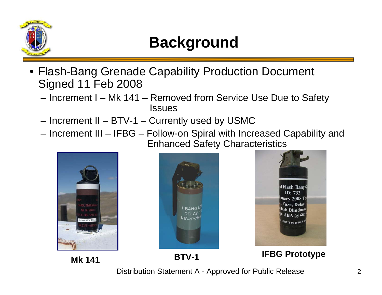

### **Background**

- Flash-Bang Grenade Capability Production Document Signed 11 Feb 2008
	- Increment I Mk 141 Removed from Service Use Due to Safety **Issues**
	- Increment II BTV-1 Currently used by USMC
	- Increment III IFBG Follow-on Spiral with Increased Capability and Enhanced Safety Characteristics





**Mk 141**

**BTV-1 IFBG Prototype**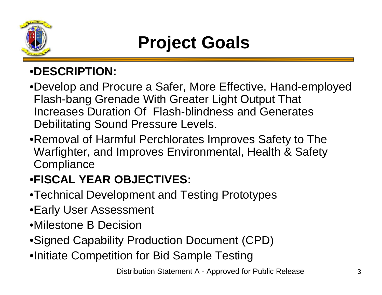

## **Project Goals**

#### •**DESCRIPTION:**

- •Develop and Procure a Safer, More Effective, Hand-employed Flash-bang Grenade With Greater Light Output That Increases Duration Of Flash-blindness and Generates Debilitating Sound Pressure Levels.
- •Removal of Harmful Perchlorates Improves Safety to The Warfighter, and Improves Environmental, Health & Safety **Compliance**

#### •**FISCAL YEAR OBJECTIVES:**

- •Technical Development and Testing Prototypes
- •Early User Assessment
- •Milestone B Decision
- •Signed Capability Production Document (CPD)
- •Initiate Competition for Bid Sample Testing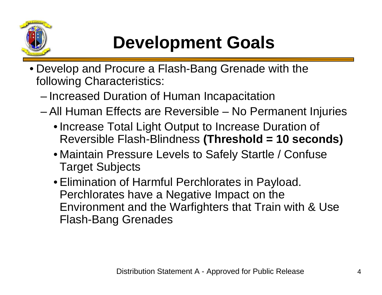

# **Development Goals**

- Develop and Procure a Flash-Bang Grenade with the following Characteristics:
	- **Links of the Company** Increased Duration of Human Incapacitation
	- and the state of the All Human Effects are Reversible – No Permanent Injuries
		- Increase Total Light Output to Increase Duration of Reversible Flash-Blindness **(Threshold = 10 seconds)**
		- Maintain Pressure Levels to Safely Startle / Confuse Target Subjects
		- Elimination of Harmful Perchlorates in Payload. Perchlorates have a Negative Impact on the Environment and the Warfighters that Train with & Use Flash-Bang Grenades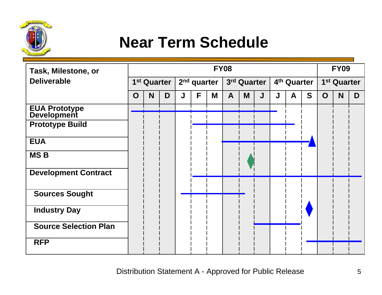

### **Near Term Schedule**

| Task, Milestone, or                  | <b>FY08</b>             |   |   |                         |   |   |             |   |   |                         |   |   | <b>FY09</b>             |   |   |
|--------------------------------------|-------------------------|---|---|-------------------------|---|---|-------------|---|---|-------------------------|---|---|-------------------------|---|---|
| <b>Deliverable</b>                   | 1 <sup>st</sup> Quarter |   |   | 2 <sup>nd</sup> quarter |   |   | 3rd Quarter |   |   | 4 <sup>th</sup> Quarter |   |   | 1 <sup>st</sup> Quarter |   |   |
|                                      | $\mathbf O$             | N | D | J                       | F | M | A           | M | J | J                       | A | S | O                       | N | D |
| <b>EUA Prototype<br/>Development</b> |                         |   |   |                         |   |   |             |   |   |                         |   |   |                         |   |   |
| <b>Prototype Build</b>               |                         |   |   |                         |   |   |             |   |   |                         |   |   |                         |   |   |
| <b>EUA</b>                           |                         |   |   |                         |   |   |             |   |   |                         |   |   |                         |   |   |
| <b>MSB</b>                           |                         |   |   |                         |   |   |             |   |   |                         |   |   |                         |   |   |
| <b>Development Contract</b>          |                         |   |   |                         |   |   |             |   |   |                         |   |   |                         |   |   |
| <b>Sources Sought</b>                |                         |   |   |                         |   |   |             |   |   |                         |   |   |                         |   |   |
| <b>Industry Day</b>                  |                         |   |   |                         |   |   |             |   |   |                         |   |   |                         |   |   |
| <b>Source Selection Plan</b>         |                         |   |   |                         |   |   |             |   |   |                         |   |   |                         |   |   |
| <b>RFP</b>                           |                         |   |   |                         |   |   |             |   |   |                         |   |   |                         |   |   |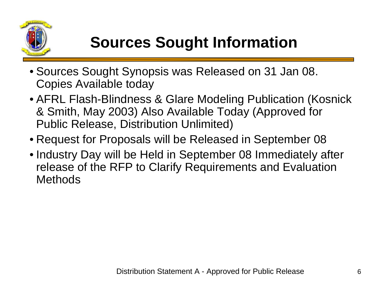

## **Sources Sought Information**

- Sources Sought Synopsis was Released on 31 Jan 08. Copies Available today
- AFRL Flash-Blindness & Glare Modeling Publication (Kosnick & Smith, May 2003) Also Available Today (Approved for Public Release, Distribution Unlimited)
- Request for Proposals will be Released in September 08
- Industry Day will be Held in September 08 Immediately after release of the RFP to Clarify Requirements and Evaluation Methods